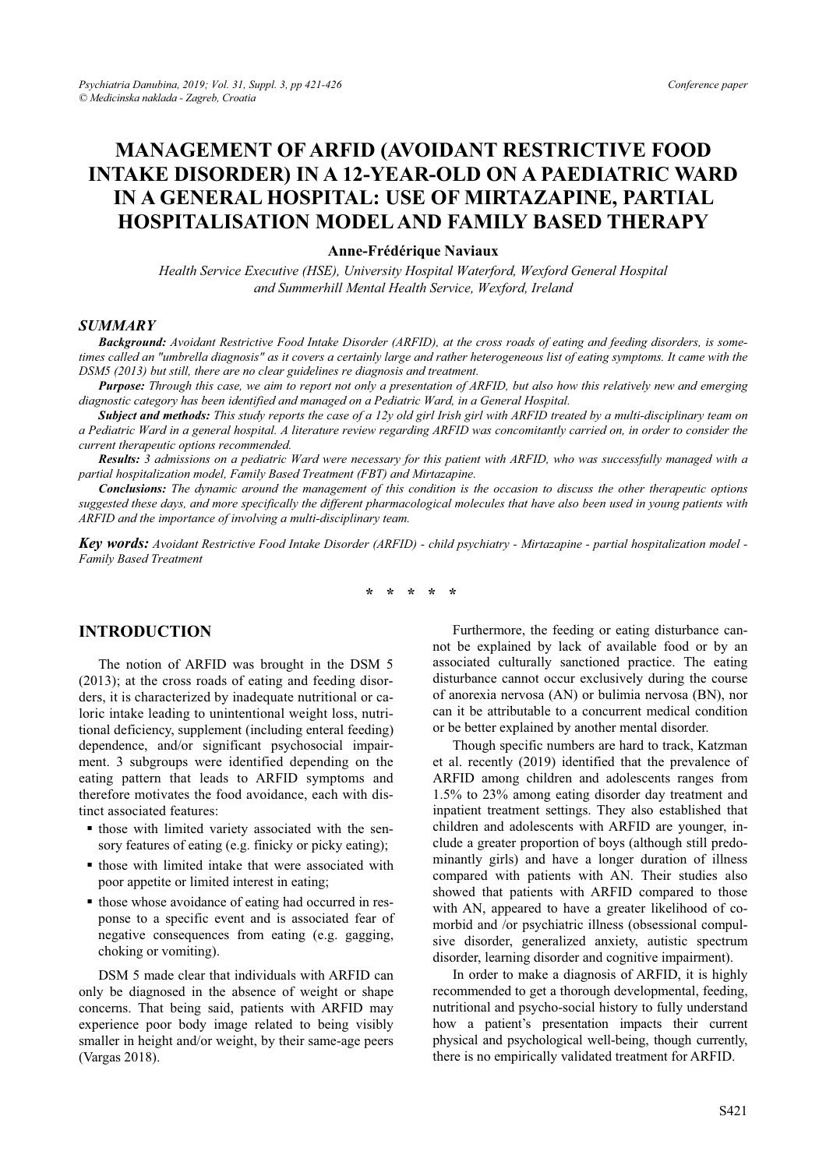# **MANAGEMENT OF ARFID (AVOIDANT RESTRICTIVE FOOD INTAKE DISORDER) IN A 12-YEAR-OLD ON A PAEDIATRIC WARD IN A GENERAL HOSPITAL: USE OF MIRTAZAPINE, PARTIAL HOSPITALISATION MODEL AND FAMILY BASED THERAPY**

#### **Anne-Frédérique Naviaux**

*Health Service Executive (HSE), University Hospital Waterford, Wexford General Hospital and Summerhill Mental Health Service, Wexford, Ireland* 

#### *SUMMARY*

*Background: Avoidant Restrictive Food Intake Disorder (ARFID), at the cross roads of eating and feeding disorders, is sometimes called an "umbrella diagnosis" as it covers a certainly large and rather heterogeneous list of eating symptoms. It came with the DSM5 (2013) but still, there are no clear guidelines re diagnosis and treatment.* 

*Purpose: Through this case, we aim to report not only a presentation of ARFID, but also how this relatively new and emerging diagnostic category has been identified and managed on a Pediatric Ward, in a General Hospital.* 

*Subject and methods: This study reports the case of a 12y old girl Irish girl with ARFID treated by a multi-disciplinary team on a Pediatric Ward in a general hospital. A literature review regarding ARFID was concomitantly carried on, in order to consider the current therapeutic options recommended.* 

*Results: 3 admissions on a pediatric Ward were necessary for this patient with ARFID, who was successfully managed with a partial hospitalization model, Family Based Treatment (FBT) and Mirtazapine.* 

*Conclusions: The dynamic around the management of this condition is the occasion to discuss the other therapeutic options suggested these days, and more specifically the different pharmacological molecules that have also been used in young patients with ARFID and the importance of involving a multi-disciplinary team.* 

*Key words: Avoidant Restrictive Food Intake Disorder (ARFID) - child psychiatry - Mirtazapine - partial hospitalization model - Family Based Treatment* 

**\* \* \* \* \*** 

## **INTRODUCTION**

The notion of ARFID was brought in the DSM 5 (2013); at the cross roads of eating and feeding disorders, it is characterized by inadequate nutritional or caloric intake leading to unintentional weight loss, nutritional deficiency, supplement (including enteral feeding) dependence, and/or significant psychosocial impairment. 3 subgroups were identified depending on the eating pattern that leads to ARFID symptoms and therefore motivates the food avoidance, each with distinct associated features:

- those with limited variety associated with the sensory features of eating (e.g. finicky or picky eating);
- those with limited intake that were associated with poor appetite or limited interest in eating;
- $\blacksquare$  those whose avoidance of eating had occurred in response to a specific event and is associated fear of negative consequences from eating (e.g. gagging, choking or vomiting).

DSM 5 made clear that individuals with ARFID can only be diagnosed in the absence of weight or shape concerns. That being said, patients with ARFID may experience poor body image related to being visibly smaller in height and/or weight, by their same-age peers (Vargas 2018).

Furthermore, the feeding or eating disturbance cannot be explained by lack of available food or by an associated culturally sanctioned practice. The eating disturbance cannot occur exclusively during the course of anorexia nervosa (AN) or bulimia nervosa (BN), nor can it be attributable to a concurrent medical condition or be better explained by another mental disorder.

Though specific numbers are hard to track, Katzman et al. recently (2019) identified that the prevalence of ARFID among children and adolescents ranges from 1.5% to 23% among eating disorder day treatment and inpatient treatment settings. They also established that children and adolescents with ARFID are younger, include a greater proportion of boys (although still predominantly girls) and have a longer duration of illness compared with patients with AN. Their studies also showed that patients with ARFID compared to those with AN, appeared to have a greater likelihood of comorbid and /or psychiatric illness (obsessional compulsive disorder, generalized anxiety, autistic spectrum disorder, learning disorder and cognitive impairment).

In order to make a diagnosis of ARFID, it is highly recommended to get a thorough developmental, feeding, nutritional and psycho-social history to fully understand how a patient's presentation impacts their current physical and psychological well-being, though currently, there is no empirically validated treatment for ARFID.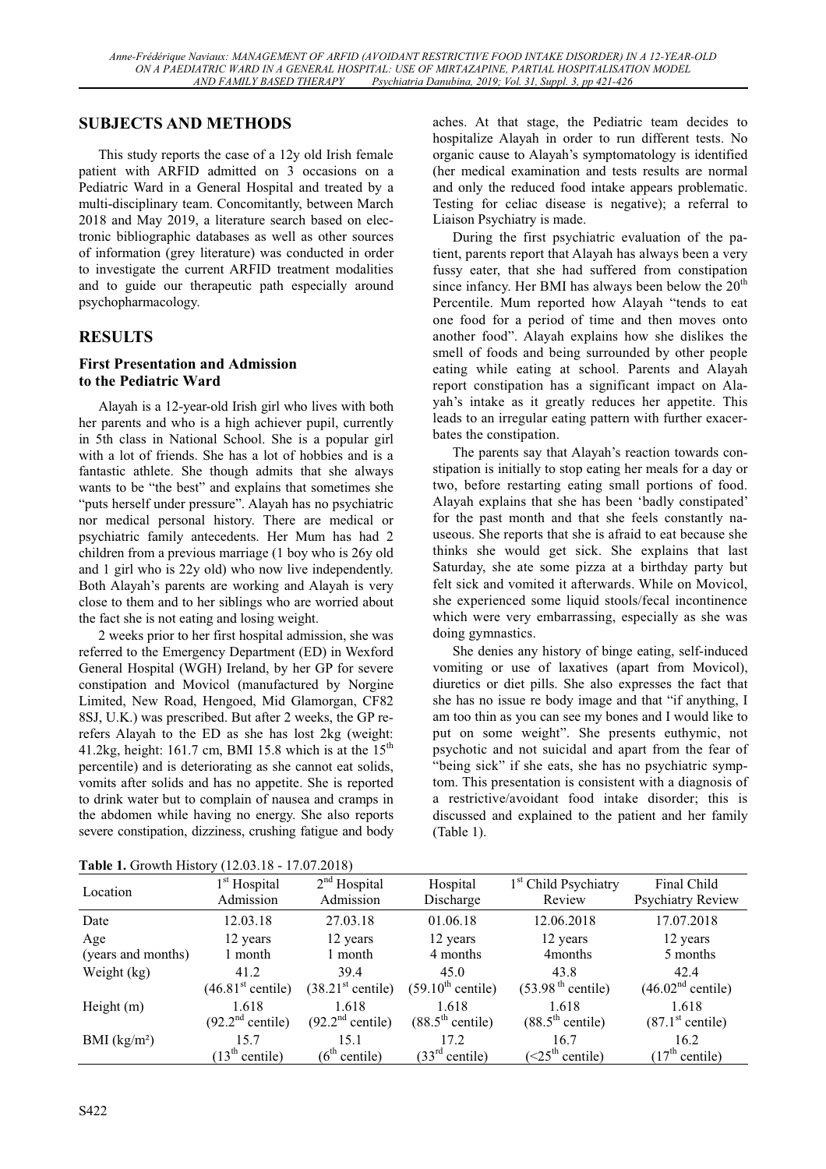# **SUBJECTS AND METHODS**

This study reports the case of a 12y old Irish female patient with ARFID admitted on 3 occasions on a Pediatric Ward in a General Hospital and treated by a multi-disciplinary team. Concomitantly, between March 2018 and May 2019, a literature search based on electronic bibliographic databases as well as other sources of information (grey literature) was conducted in order to investigate the current ARFID treatment modalities and to guide our therapeutic path especially around psychopharmacology.

# **RESULTS**

# **First Presentation and Admission to the Pediatric Ward**

Alayah is a 12-year-old Irish girl who lives with both her parents and who is a high achiever pupil, currently in 5th class in National School. She is a popular girl with a lot of friends. She has a lot of hobbies and is a fantastic athlete. She though admits that she always wants to be "the best" and explains that sometimes she "puts herself under pressure". Alayah has no psychiatric nor medical personal history. There are medical or psychiatric family antecedents. Her Mum has had 2 children from a previous marriage (1 boy who is 26y old and 1 girl who is 22y old) who now live independently. Both Alayah's parents are working and Alayah is very close to them and to her siblings who are worried about the fact she is not eating and losing weight.

2 weeks prior to her first hospital admission, she was referred to the Emergency Department (ED) in Wexford General Hospital (WGH) Ireland, by her GP for severe constipation and Movicol (manufactured by Norgine Limited, New Road, Hengoed, Mid Glamorgan, CF82 8SJ, U.K.) was prescribed. But after 2 weeks, the GP rerefers Alayah to the ED as she has lost 2kg (weight: 41.2kg, height: 161.7 cm, BMI 15.8 which is at the  $15<sup>th</sup>$ percentile) and is deteriorating as she cannot eat solids, vomits after solids and has no appetite. She is reported to drink water but to complain of nausea and cramps in the abdomen while having no energy. She also reports severe constipation, dizziness, crushing fatigue and body aches. At that stage, the Pediatric team decides to hospitalize Alayah in order to run different tests. No organic cause to Alayah's symptomatology is identified (her medical examination and tests results are normal and only the reduced food intake appears problematic. Testing for celiac disease is negative); a referral to Liaison Psychiatry is made.

During the first psychiatric evaluation of the patient, parents report that Alayah has always been a very fussy eater, that she had suffered from constipation since infancy. Her BMI has always been below the  $20<sup>th</sup>$ Percentile. Mum reported how Alayah "tends to eat one food for a period of time and then moves onto another food". Alayah explains how she dislikes the smell of foods and being surrounded by other people eating while eating at school. Parents and Alayah report constipation has a significant impact on Alayah's intake as it greatly reduces her appetite. This leads to an irregular eating pattern with further exacerbates the constipation.

The parents say that Alayah's reaction towards constipation is initially to stop eating her meals for a day or two, before restarting eating small portions of food. Alayah explains that she has been 'badly constipated' for the past month and that she feels constantly nauseous. She reports that she is afraid to eat because she thinks she would get sick. She explains that last Saturday, she ate some pizza at a birthday party but felt sick and vomited it afterwards. While on Movicol, she experienced some liquid stools/fecal incontinence which were very embarrassing, especially as she was doing gymnastics.

She denies any history of binge eating, self-induced vomiting or use of laxatives (apart from Movicol), diuretics or diet pills. She also expresses the fact that she has no issue re body image and that "if anything, I am too thin as you can see my bones and I would like to put on some weight". She presents euthymic, not psychotic and not suicidal and apart from the fear of "being sick" if she eats, she has no psychiatric symptom. This presentation is consistent with a diagnosis of a restrictive/avoidant food intake disorder; this is discussed and explained to the patient and her family (Table 1).

| <b>THOIC II</b> OID WILL THERE I<br>11.400.10<br>11.VI.JVIVI |                               |                               |                               |                                  |                               |  |  |  |  |
|--------------------------------------------------------------|-------------------------------|-------------------------------|-------------------------------|----------------------------------|-------------------------------|--|--|--|--|
| Location                                                     | 1 <sup>st</sup> Hospital      | $2nd$ Hospital                | Hospital                      | 1 <sup>st</sup> Child Psychiatry | Final Child                   |  |  |  |  |
|                                                              | Admission                     | Admission                     | Discharge                     | Review                           | <b>Psychiatry Review</b>      |  |  |  |  |
| Date                                                         | 12.03.18                      | 27.03.18                      | 01.06.18                      | 12.06.2018                       | 17.07.2018                    |  |  |  |  |
| Age                                                          | 12 years                      | 12 years                      | 12 years                      | 12 years                         | 12 years                      |  |  |  |  |
| (years and months)                                           | 1 month                       | 1 month                       | 4 months                      | 4 <sub>months</sub>              | 5 months                      |  |  |  |  |
| Weight (kg)                                                  | 41.2                          | 39.4                          | 45.0                          | 43.8                             | 42.4                          |  |  |  |  |
|                                                              | (46.81 <sup>st</sup> centile) | (38.21 <sup>st</sup> centile) | $(59.10^{\text{th}}$ centile) | (53.98 <sup>th</sup> centile)    | (46.02 <sup>nd</sup> centile) |  |  |  |  |
| Height $(m)$                                                 | 1.618                         | 1.618                         | 1.618                         | 1.618                            | 1.618                         |  |  |  |  |
|                                                              | (92.2 <sup>nd</sup> centile)  | (92.2 <sup>nd</sup> centile)  | $(88.5^{\text{th}}$ centile)  | $(88.5^{\text{th}}$ centile)     | (87.1 <sup>st</sup> centile)  |  |  |  |  |
| BMI $(kg/m2)$                                                | 15.7                          | 15.1                          | 17.2                          | 16.7                             | 16.2                          |  |  |  |  |
|                                                              | (13 <sup>th</sup> centile)    | (6 <sup>th</sup> centile)     | (33 <sup>rd</sup> centile)    | (<25 <sup>th</sup> centile)      | (17 <sup>th</sup> centile)    |  |  |  |  |

**Table 1.** Growth History (12.03.18 - 17.07.2018)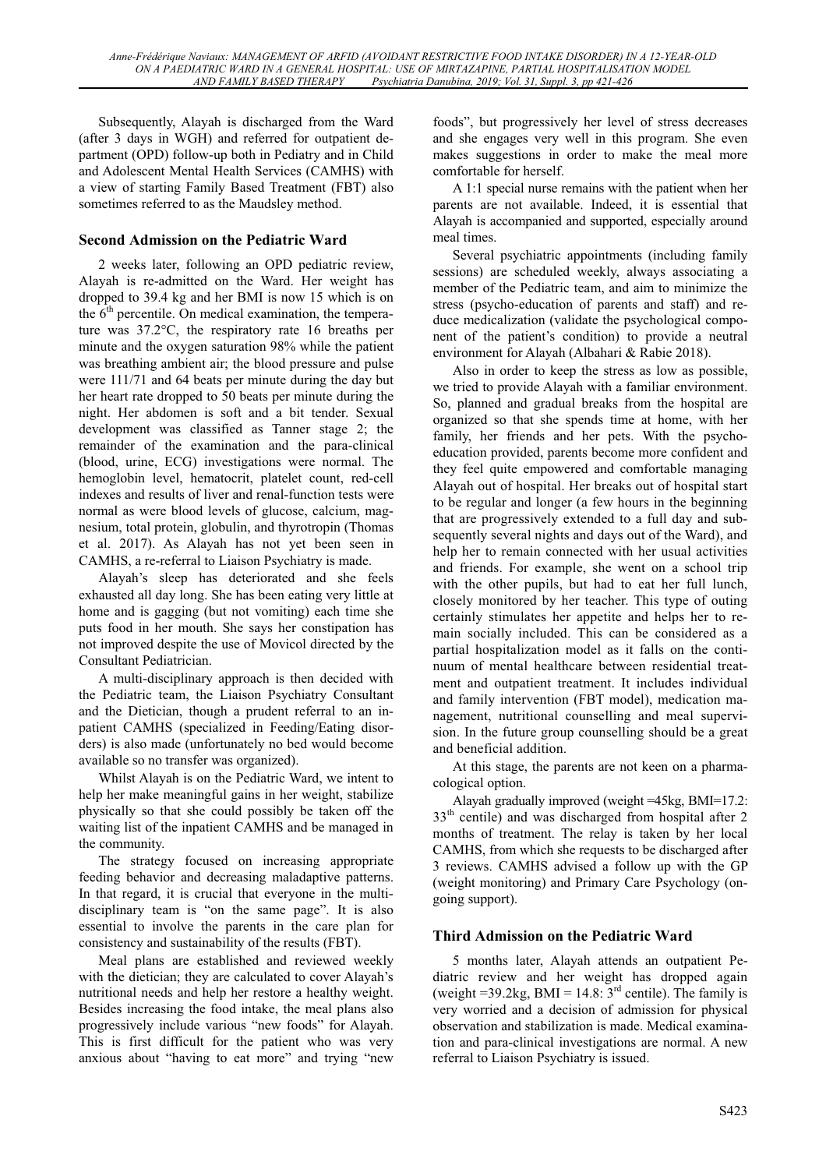Subsequently, Alayah is discharged from the Ward (after 3 days in WGH) and referred for outpatient department (OPD) follow-up both in Pediatry and in Child and Adolescent Mental Health Services (CAMHS) with a view of starting Family Based Treatment (FBT) also sometimes referred to as the Maudsley method.

## **Second Admission on the Pediatric Ward**

2 weeks later, following an OPD pediatric review, Alayah is re-admitted on the Ward. Her weight has dropped to 39.4 kg and her BMI is now 15 which is on the  $6<sup>th</sup>$  percentile. On medical examination, the temperature was 37.2°C, the respiratory rate 16 breaths per minute and the oxygen saturation 98% while the patient was breathing ambient air; the blood pressure and pulse were 111/71 and 64 beats per minute during the day but her heart rate dropped to 50 beats per minute during the night. Her abdomen is soft and a bit tender. Sexual development was classified as Tanner stage 2; the remainder of the examination and the para-clinical (blood, urine, ECG) investigations were normal. The hemoglobin level, hematocrit, platelet count, red-cell indexes and results of liver and renal-function tests were normal as were blood levels of glucose, calcium, magnesium, total protein, globulin, and thyrotropin (Thomas et al. 2017). As Alayah has not yet been seen in CAMHS, a re-referral to Liaison Psychiatry is made.

Alayah's sleep has deteriorated and she feels exhausted all day long. She has been eating very little at home and is gagging (but not vomiting) each time she puts food in her mouth. She says her constipation has not improved despite the use of Movicol directed by the Consultant Pediatrician.

A multi-disciplinary approach is then decided with the Pediatric team, the Liaison Psychiatry Consultant and the Dietician, though a prudent referral to an inpatient CAMHS (specialized in Feeding/Eating disorders) is also made (unfortunately no bed would become available so no transfer was organized).

Whilst Alayah is on the Pediatric Ward, we intent to help her make meaningful gains in her weight, stabilize physically so that she could possibly be taken off the waiting list of the inpatient CAMHS and be managed in the community.

The strategy focused on increasing appropriate feeding behavior and decreasing maladaptive patterns. In that regard, it is crucial that everyone in the multidisciplinary team is "on the same page". It is also essential to involve the parents in the care plan for consistency and sustainability of the results (FBT).

Meal plans are established and reviewed weekly with the dietician; they are calculated to cover Alayah's nutritional needs and help her restore a healthy weight. Besides increasing the food intake, the meal plans also progressively include various "new foods" for Alayah. This is first difficult for the patient who was very anxious about "having to eat more" and trying "new

foods", but progressively her level of stress decreases and she engages very well in this program. She even makes suggestions in order to make the meal more comfortable for herself.

A 1:1 special nurse remains with the patient when her parents are not available. Indeed, it is essential that Alayah is accompanied and supported, especially around meal times.

Several psychiatric appointments (including family sessions) are scheduled weekly, always associating a member of the Pediatric team, and aim to minimize the stress (psycho-education of parents and staff) and reduce medicalization (validate the psychological component of the patient's condition) to provide a neutral environment for Alayah (Albahari & Rabie 2018).

Also in order to keep the stress as low as possible, we tried to provide Alayah with a familiar environment. So, planned and gradual breaks from the hospital are organized so that she spends time at home, with her family, her friends and her pets. With the psychoeducation provided, parents become more confident and they feel quite empowered and comfortable managing Alayah out of hospital. Her breaks out of hospital start to be regular and longer (a few hours in the beginning that are progressively extended to a full day and subsequently several nights and days out of the Ward), and help her to remain connected with her usual activities and friends. For example, she went on a school trip with the other pupils, but had to eat her full lunch, closely monitored by her teacher. This type of outing certainly stimulates her appetite and helps her to remain socially included. This can be considered as a partial hospitalization model as it falls on the continuum of mental healthcare between residential treatment and outpatient treatment. It includes individual and family intervention (FBT model), medication management, nutritional counselling and meal supervision. In the future group counselling should be a great and beneficial addition.

At this stage, the parents are not keen on a pharmacological option.

Alayah gradually improved (weight =45kg, BMI=17.2: 33th centile) and was discharged from hospital after 2 months of treatment. The relay is taken by her local CAMHS, from which she requests to be discharged after 3 reviews. CAMHS advised a follow up with the GP (weight monitoring) and Primary Care Psychology (ongoing support).

## **Third Admission on the Pediatric Ward**

5 months later, Alayah attends an outpatient Pediatric review and her weight has dropped again (weight =39.2kg, BMI = 14.8:  $3<sup>rd</sup>$  centile). The family is very worried and a decision of admission for physical observation and stabilization is made. Medical examination and para-clinical investigations are normal. A new referral to Liaison Psychiatry is issued.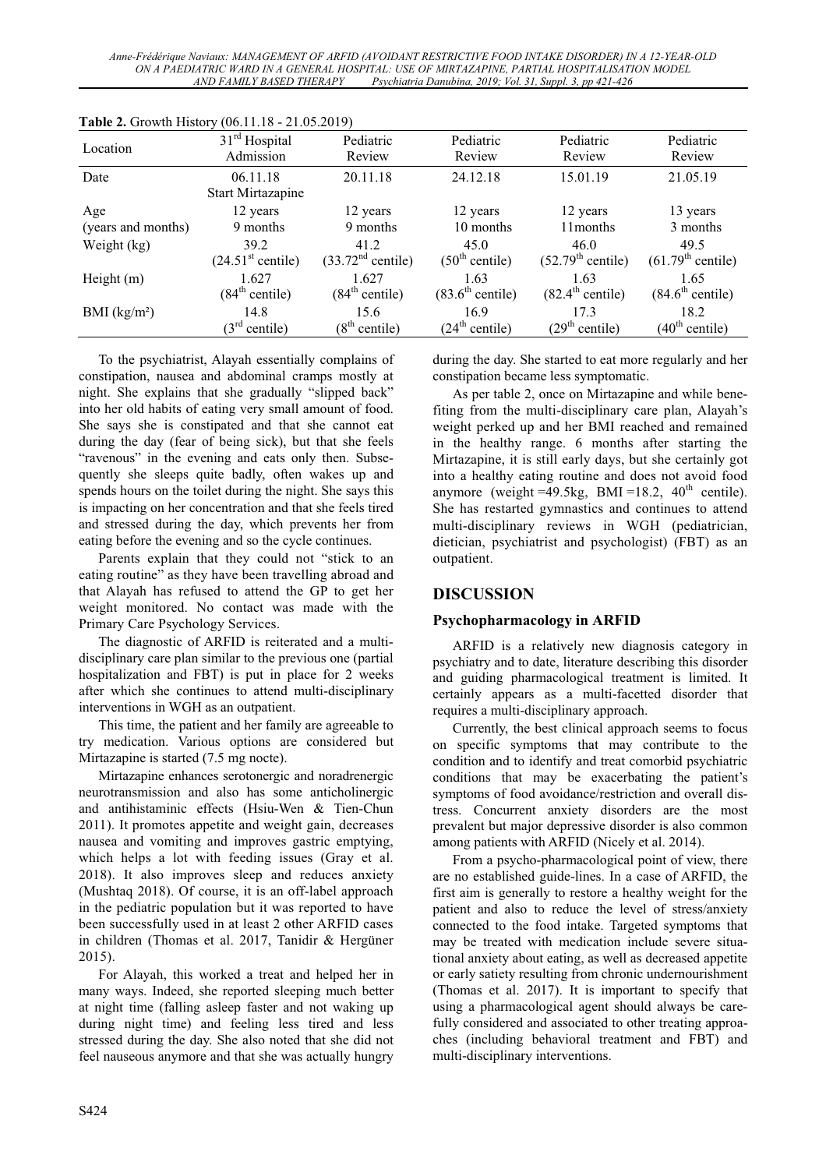*Anne-Frédérique Naviaux: MANAGEMENT OF ARFID (AVOIDANT RESTRICTIVE FOOD INTAKE DISORDER) IN A 12-YEAR-OLD ON A PAEDIATRIC WARD IN A GENERAL HOSPITAL: USE OF MIRTAZAPINE, PARTIAL HOSPITALISATION MODEL AND FAMILY BASED THERAPY Psychiatria Danubina, 2019; Vol. 31, Suppl. 3, pp 421-426* 

| Location           | $31rd$ Hospital<br>Admission  | Pediatric<br>Review           | Pediatric<br>Review          | Pediatric<br>Review           | Pediatric<br>Review           |
|--------------------|-------------------------------|-------------------------------|------------------------------|-------------------------------|-------------------------------|
| Date               | 06.11.18<br>Start Mirtazapine | 20.11.18                      | 24.12.18                     | 15.01.19                      | 21.05.19                      |
| Age                | 12 years                      | 12 years                      | 12 years                     | 12 years                      | 13 years                      |
| (years and months) | 9 months                      | 9 months                      | 10 months                    | 11 months                     | 3 months                      |
| Weight (kg)        | 39.2                          | 41.2                          | 45.0                         | 46.0                          | 49.5                          |
|                    | (24.51 <sup>st</sup> centile) | (33.72 <sup>nd</sup> centile) | (50 <sup>th</sup> centile)   | (52.79 <sup>th</sup> centile) | (61.79 <sup>th</sup> centile) |
| Height $(m)$       | 1.627                         | 1.627                         | 1.63                         | 1.63                          | 1.65                          |
|                    | (84 <sup>th</sup> centile)    | (84 <sup>th</sup> centile)    | $(83.6^{\text{th}}$ centile) | $(82.4^{\text{th}}$ centile)  | $(84.6^{\text{th}}$ centile)  |
| BMI $(kg/m2)$      | 14.8                          | 15.6                          | 16.9                         | 17.3                          | 18.2                          |
|                    | $(3^{rd}$<br>centile)         | (8 <sup>th</sup> centile)     | (24 <sup>th</sup> centile)   | (29 <sup>th</sup> centile)    | (40 <sup>th</sup> centile)    |

**Table 2.** Growth History (06.11.18 - 21.05.2019)

To the psychiatrist, Alayah essentially complains of constipation, nausea and abdominal cramps mostly at night. She explains that she gradually "slipped back" into her old habits of eating very small amount of food. She says she is constipated and that she cannot eat during the day (fear of being sick), but that she feels "ravenous" in the evening and eats only then. Subsequently she sleeps quite badly, often wakes up and spends hours on the toilet during the night. She says this is impacting on her concentration and that she feels tired and stressed during the day, which prevents her from eating before the evening and so the cycle continues.

Parents explain that they could not "stick to an eating routine" as they have been travelling abroad and that Alayah has refused to attend the GP to get her weight monitored. No contact was made with the Primary Care Psychology Services.

The diagnostic of ARFID is reiterated and a multidisciplinary care plan similar to the previous one (partial hospitalization and FBT) is put in place for 2 weeks after which she continues to attend multi-disciplinary interventions in WGH as an outpatient.

This time, the patient and her family are agreeable to try medication. Various options are considered but Mirtazapine is started (7.5 mg nocte).

Mirtazapine enhances serotonergic and noradrenergic neurotransmission and also has some anticholinergic and antihistaminic effects (Hsiu-Wen & Tien-Chun 2011). It promotes appetite and weight gain, decreases nausea and vomiting and improves gastric emptying, which helps a lot with feeding issues (Gray et al. 2018). It also improves sleep and reduces anxiety (Mushtaq 2018). Of course, it is an off-label approach in the pediatric population but it was reported to have been successfully used in at least 2 other ARFID cases in children (Thomas et al. 2017, Tanidir & Hergüner 2015).

For Alayah, this worked a treat and helped her in many ways. Indeed, she reported sleeping much better at night time (falling asleep faster and not waking up during night time) and feeling less tired and less stressed during the day. She also noted that she did not feel nauseous anymore and that she was actually hungry during the day. She started to eat more regularly and her constipation became less symptomatic.

As per table 2, once on Mirtazapine and while benefiting from the multi-disciplinary care plan, Alayah's weight perked up and her BMI reached and remained in the healthy range. 6 months after starting the Mirtazapine, it is still early days, but she certainly got into a healthy eating routine and does not avoid food anymore (weight =49.5kg, BMI =18.2,  $40<sup>th</sup>$  centile). She has restarted gymnastics and continues to attend multi-disciplinary reviews in WGH (pediatrician, dietician, psychiatrist and psychologist) (FBT) as an outpatient.

## **DISCUSSION**

#### **Psychopharmacology in ARFID**

ARFID is a relatively new diagnosis category in psychiatry and to date, literature describing this disorder and guiding pharmacological treatment is limited. It certainly appears as a multi-facetted disorder that requires a multi-disciplinary approach.

Currently, the best clinical approach seems to focus on specific symptoms that may contribute to the condition and to identify and treat comorbid psychiatric conditions that may be exacerbating the patient's symptoms of food avoidance/restriction and overall distress. Concurrent anxiety disorders are the most prevalent but major depressive disorder is also common among patients with ARFID (Nicely et al. 2014).

From a psycho-pharmacological point of view, there are no established guide-lines. In a case of ARFID, the first aim is generally to restore a healthy weight for the patient and also to reduce the level of stress/anxiety connected to the food intake. Targeted symptoms that may be treated with medication include severe situational anxiety about eating, as well as decreased appetite or early satiety resulting from chronic undernourishment (Thomas et al. 2017). It is important to specify that using a pharmacological agent should always be carefully considered and associated to other treating approaches (including behavioral treatment and FBT) and multi-disciplinary interventions.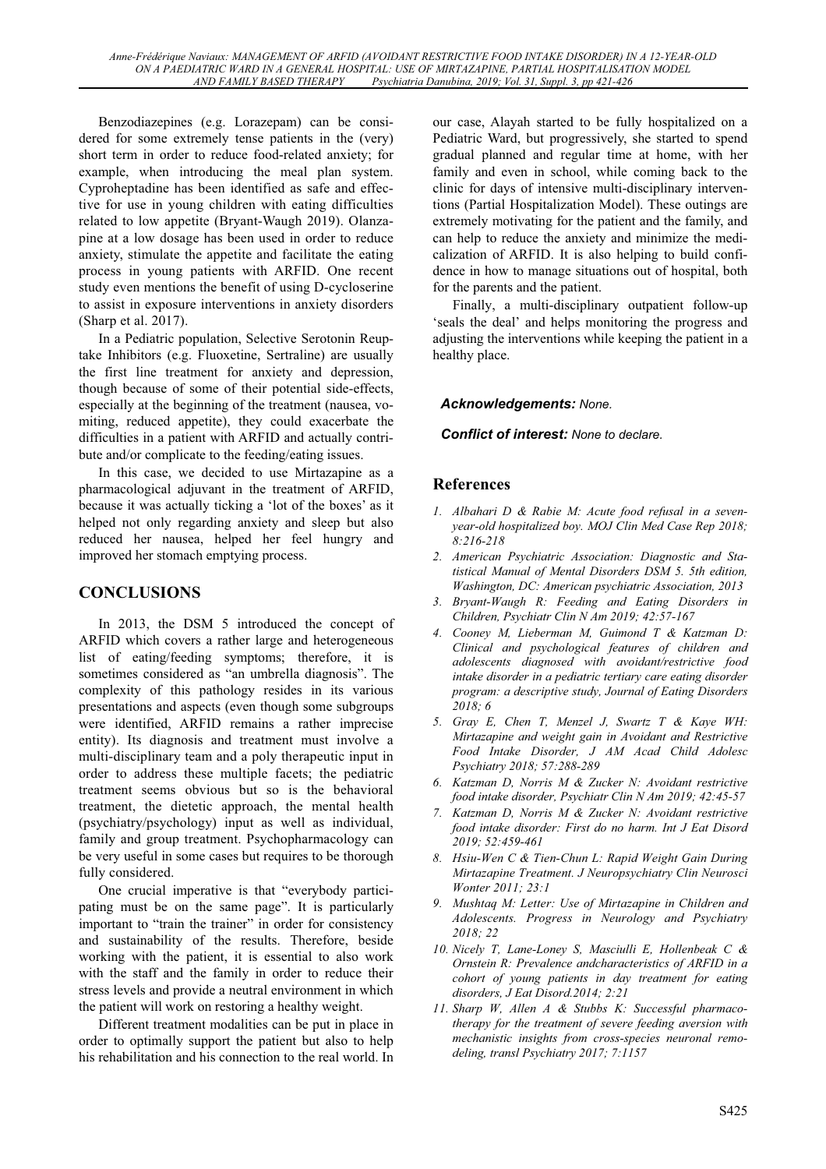Benzodiazepines (e.g. Lorazepam) can be considered for some extremely tense patients in the (very) short term in order to reduce food-related anxiety; for example, when introducing the meal plan system. Cyproheptadine has been identified as safe and effective for use in young children with eating difficulties related to low appetite (Bryant-Waugh 2019). Olanzapine at a low dosage has been used in order to reduce anxiety, stimulate the appetite and facilitate the eating process in young patients with ARFID. One recent study even mentions the benefit of using D-cycloserine to assist in exposure interventions in anxiety disorders (Sharp et al. 2017).

In a Pediatric population, Selective Serotonin Reuptake Inhibitors (e.g. Fluoxetine, Sertraline) are usually the first line treatment for anxiety and depression, though because of some of their potential side-effects, especially at the beginning of the treatment (nausea, vomiting, reduced appetite), they could exacerbate the difficulties in a patient with ARFID and actually contribute and/or complicate to the feeding/eating issues.

In this case, we decided to use Mirtazapine as a pharmacological adjuvant in the treatment of ARFID, because it was actually ticking a 'lot of the boxes' as it helped not only regarding anxiety and sleep but also reduced her nausea, helped her feel hungry and improved her stomach emptying process.

# **CONCLUSIONS**

In 2013, the DSM 5 introduced the concept of ARFID which covers a rather large and heterogeneous list of eating/feeding symptoms; therefore, it is sometimes considered as "an umbrella diagnosis". The complexity of this pathology resides in its various presentations and aspects (even though some subgroups were identified, ARFID remains a rather imprecise entity). Its diagnosis and treatment must involve a multi-disciplinary team and a poly therapeutic input in order to address these multiple facets; the pediatric treatment seems obvious but so is the behavioral treatment, the dietetic approach, the mental health (psychiatry/psychology) input as well as individual, family and group treatment. Psychopharmacology can be very useful in some cases but requires to be thorough fully considered.

One crucial imperative is that "everybody participating must be on the same page". It is particularly important to "train the trainer" in order for consistency and sustainability of the results. Therefore, beside working with the patient, it is essential to also work with the staff and the family in order to reduce their stress levels and provide a neutral environment in which the patient will work on restoring a healthy weight.

Different treatment modalities can be put in place in order to optimally support the patient but also to help his rehabilitation and his connection to the real world. In our case, Alayah started to be fully hospitalized on a Pediatric Ward, but progressively, she started to spend gradual planned and regular time at home, with her family and even in school, while coming back to the clinic for days of intensive multi-disciplinary interventions (Partial Hospitalization Model). These outings are extremely motivating for the patient and the family, and can help to reduce the anxiety and minimize the medicalization of ARFID. It is also helping to build confidence in how to manage situations out of hospital, both for the parents and the patient.

Finally, a multi-disciplinary outpatient follow-up 'seals the deal' and helps monitoring the progress and adjusting the interventions while keeping the patient in a healthy place.

#### *Acknowledgements: None.*

#### *Conflict of interest: None to declare.*

## **References**

- *1. Albahari D & Rabie M: Acute food refusal in a sevenyear-old hospitalized boy. MOJ Clin Med Case Rep 2018; 8:216-218*
- *2. American Psychiatric Association: Diagnostic and Statistical Manual of Mental Disorders DSM 5. 5th edition, Washington, DC: American psychiatric Association, 2013*
- *3. Bryant-Waugh R: Feeding and Eating Disorders in Children, Psychiatr Clin N Am 2019; 42:57-167*
- *4. Cooney M, Lieberman M, Guimond T & Katzman D: Clinical and psychological features of children and adolescents diagnosed with avoidant/restrictive food intake disorder in a pediatric tertiary care eating disorder program: a descriptive study, Journal of Eating Disorders 2018; 6*
- *5. Gray E, Chen T, Menzel J, Swartz T & Kaye WH: Mirtazapine and weight gain in Avoidant and Restrictive Food Intake Disorder, J AM Acad Child Adolesc Psychiatry 2018; 57:288-289*
- *6. Katzman D, Norris M & Zucker N: Avoidant restrictive food intake disorder, Psychiatr Clin N Am 2019; 42:45-57*
- *7. Katzman D, Norris M & Zucker N: Avoidant restrictive food intake disorder: First do no harm. Int J Eat Disord 2019; 52:459-461*
- *8. Hsiu-Wen C & Tien-Chun L: Rapid Weight Gain During Mirtazapine Treatment. J Neuropsychiatry Clin Neurosci Wonter 2011; 23:1*
- *9. Mushtaq M: Letter: Use of Mirtazapine in Children and Adolescents. Progress in Neurology and Psychiatry 2018; 22*
- *10. Nicely T, Lane-Loney S, Masciulli E, Hollenbeak C & Ornstein R: Prevalence andcharacteristics of ARFID in a cohort of young patients in day treatment for eating disorders, J Eat Disord.2014; 2:21*
- *11. Sharp W, Allen A & Stubbs K: Successful pharmacotherapy for the treatment of severe feeding aversion with mechanistic insights from cross-species neuronal remodeling, transl Psychiatry 2017; 7:1157*